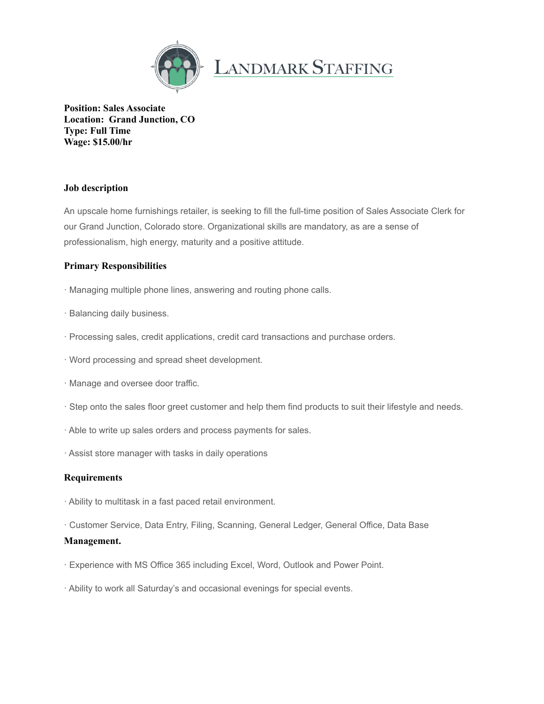

**Position: Sales Associate Location: Grand Junction, CO Type: Full Time Wage: \$15.00/hr**

## **Job description**

An upscale home furnishings retailer, is seeking to fill the full-time position of Sales Associate Clerk for our Grand Junction, Colorado store. Organizational skills are mandatory, as are a sense of professionalism, high energy, maturity and a positive attitude.

## **Primary Responsibilities**

- · Managing multiple phone lines, answering and routing phone calls.
- · Balancing daily business.
- · Processing sales, credit applications, credit card transactions and purchase orders.
- · Word processing and spread sheet development.
- · Manage and oversee door traffic.
- · Step onto the sales floor greet customer and help them find products to suit their lifestyle and needs.
- · Able to write up sales orders and process payments for sales.
- · Assist store manager with tasks in daily operations

## **Requirements**

- · Ability to multitask in a fast paced retail environment.
- · Customer Service, Data Entry, Filing, Scanning, General Ledger, General Office, Data Base

## **Management.**

- · Experience with MS Office 365 including Excel, Word, Outlook and Power Point.
- · Ability to work all Saturday's and occasional evenings for special events.